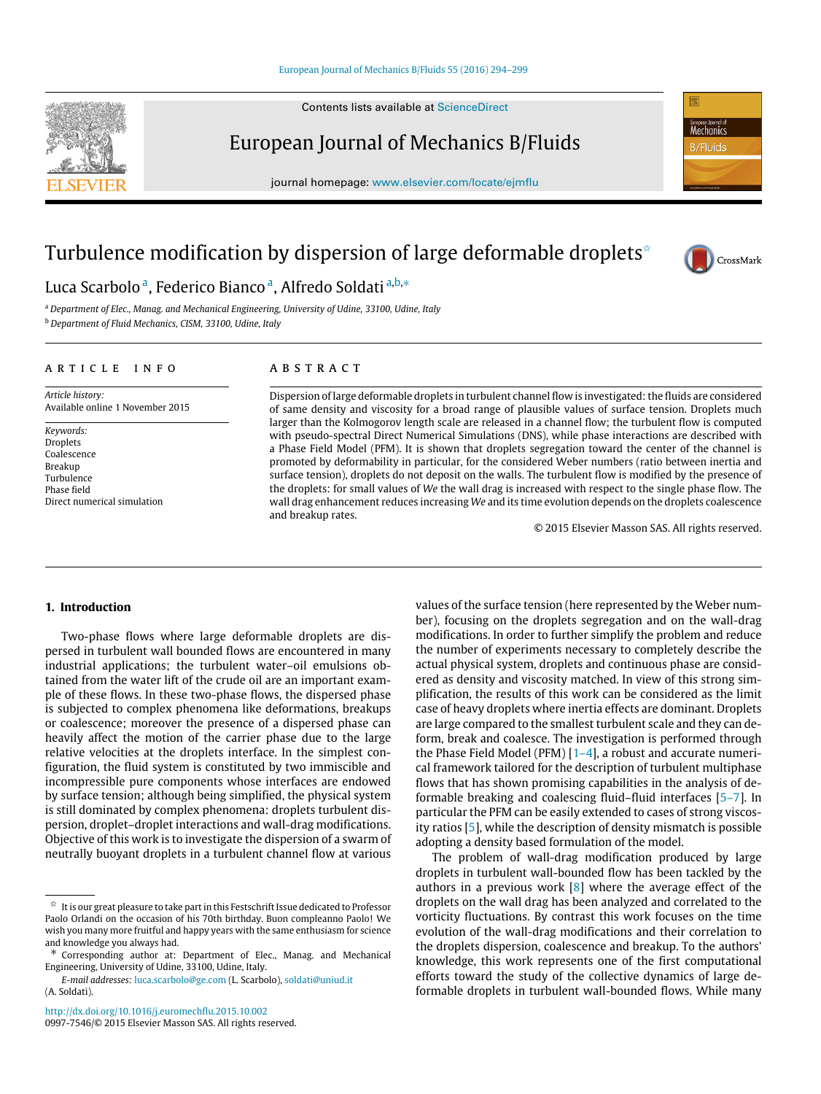#### [European Journal of Mechanics B/Fluids 55 \(2016\) 294–299](http://dx.doi.org/10.1016/j.euromechflu.2015.10.002)

Contents lists available at [ScienceDirect](http://www.elsevier.com/locate/ejmflu)

# European Journal of Mechanics B/Fluids

journal homepage: [www.elsevier.com/locate/ejmflu](http://www.elsevier.com/locate/ejmflu)



# Turbulence modification by dispersion of large deformable droplets<sup> $\dot{\alpha}$ </sup>



# Luc[a](#page-0-1) Scarboloª, Federico Biancoª, Alfredo Soldati<sup>a[,b,](#page-0-2)</sup>\*

<span id="page-0-1"></span><sup>a</sup> *Department of Elec., Manag. and Mechanical Engineering, University of Udine, 33100, Udine, Italy*

<span id="page-0-2"></span><sup>b</sup> *Department of Fluid Mechanics, CISM, 33100, Udine, Italy*

#### ARTICLE INFO

*Article history:* Available online 1 November 2015

*Keywords:* Droplets Coalescence Breakup Turbulence Phase field Direct numerical simulation

# A B S T R A C T

Dispersion of large deformable droplets in turbulent channel flow is investigated: the fluids are considered of same density and viscosity for a broad range of plausible values of surface tension. Droplets much larger than the Kolmogorov length scale are released in a channel flow; the turbulent flow is computed with pseudo-spectral Direct Numerical Simulations (DNS), while phase interactions are described with a Phase Field Model (PFM). It is shown that droplets segregation toward the center of the channel is promoted by deformability in particular, for the considered Weber numbers (ratio between inertia and surface tension), droplets do not deposit on the walls. The turbulent flow is modified by the presence of the droplets: for small values of *We* the wall drag is increased with respect to the single phase flow. The wall drag enhancement reduces increasing *We* and its time evolution depends on the droplets coalescence and breakup rates.

© 2015 Elsevier Masson SAS. All rights reserved.

#### **1. Introduction**

Two-phase flows where large deformable droplets are dispersed in turbulent wall bounded flows are encountered in many industrial applications; the turbulent water–oil emulsions obtained from the water lift of the crude oil are an important example of these flows. In these two-phase flows, the dispersed phase is subjected to complex phenomena like deformations, breakups or coalescence; moreover the presence of a dispersed phase can heavily affect the motion of the carrier phase due to the large relative velocities at the droplets interface. In the simplest configuration, the fluid system is constituted by two immiscible and incompressible pure components whose interfaces are endowed by surface tension; although being simplified, the physical system is still dominated by complex phenomena: droplets turbulent dispersion, droplet–droplet interactions and wall-drag modifications. Objective of this work is to investigate the dispersion of a swarm of neutrally buoyant droplets in a turbulent channel flow at various values of the surface tension (here represented by the Weber number), focusing on the droplets segregation and on the wall-drag modifications. In order to further simplify the problem and reduce the number of experiments necessary to completely describe the actual physical system, droplets and continuous phase are considered as density and viscosity matched. In view of this strong simplification, the results of this work can be considered as the limit case of heavy droplets where inertia effects are dominant. Droplets are large compared to the smallest turbulent scale and they can deform, break and coalesce. The investigation is performed through the Phase Field Model (PFM)  $[1-4]$ , a robust and accurate numerical framework tailored for the description of turbulent multiphase flows that has shown promising capabilities in the analysis of deformable breaking and coalescing fluid–fluid interfaces [\[5–7\]](#page-5-1). In particular the PFM can be easily extended to cases of strong viscosity ratios [\[5\]](#page-5-1), while the description of density mismatch is possible adopting a density based formulation of the model.

The problem of wall-drag modification produced by large droplets in turbulent wall-bounded flow has been tackled by the authors in a previous work  $[8]$  where the average effect of the droplets on the wall drag has been analyzed and correlated to the vorticity fluctuations. By contrast this work focuses on the time evolution of the wall-drag modifications and their correlation to the droplets dispersion, coalescence and breakup. To the authors' knowledge, this work represents one of the first computational efforts toward the study of the collective dynamics of large deformable droplets in turbulent wall-bounded flows. While many



<span id="page-0-0"></span> $\mathring{\mathbb{R}}$  It is our great pleasure to take part in this Festschrift Issue dedicated to Professor Paolo Orlandi on the occasion of his 70th birthday. Buon compleanno Paolo! We wish you many more fruitful and happy years with the same enthusiasm for science and knowledge you always had.

<span id="page-0-3"></span>Corresponding author at: Department of Elec., Manag. and Mechanical Engineering, University of Udine, 33100, Udine, Italy.

*E-mail addresses:* [luca.scarbolo@ge.com](mailto:luca.scarbolo@ge.com) (L. Scarbolo), [soldati@uniud.it](mailto:soldati@uniud.it) (A. Soldati).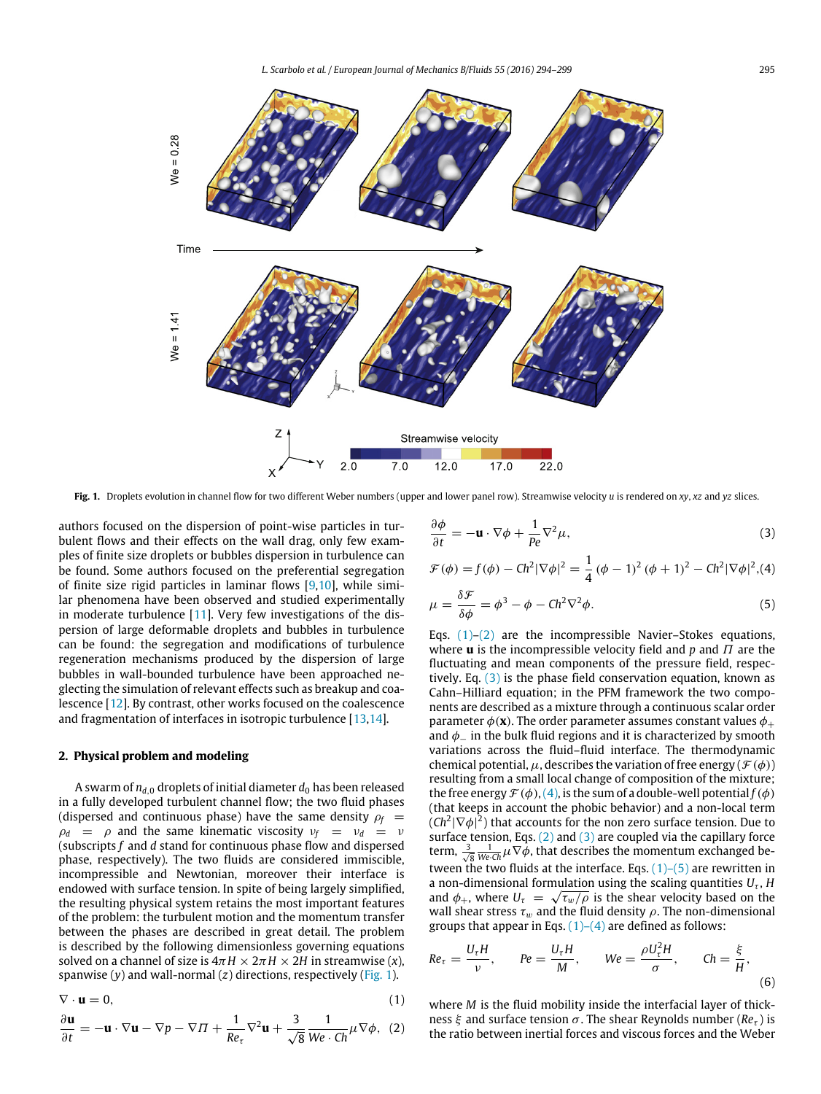<span id="page-1-0"></span>

**Fig. 1.** Droplets evolution in channel flow for two different Weber numbers (upper and lower panel row). Streamwise velocity *u* is rendered on *xy*, *xz* and *yz* slices.

authors focused on the dispersion of point-wise particles in turbulent flows and their effects on the wall drag, only few examples of finite size droplets or bubbles dispersion in turbulence can be found. Some authors focused on the preferential segregation of finite size rigid particles in laminar flows [\[9,](#page-5-3)[10\]](#page-5-4), while similar phenomena have been observed and studied experimentally in moderate turbulence  $[11]$ . Very few investigations of the dispersion of large deformable droplets and bubbles in turbulence can be found: the segregation and modifications of turbulence regeneration mechanisms produced by the dispersion of large bubbles in wall-bounded turbulence have been approached neglecting the simulation of relevant effects such as breakup and coalescence [\[12\]](#page-5-6). By contrast, other works focused on the coalescence and fragmentation of interfaces in isotropic turbulence [\[13,](#page-5-7)[14\]](#page-5-8).

#### **2. Physical problem and modeling**

A swarm of  $n_{d,0}$  droplets of initial diameter  $d_0$  has been released in a fully developed turbulent channel flow; the two fluid phases (dispersed and continuous phase) have the same density  $\rho_f$  =  $\rho_d$  =  $\rho$  and the same kinematic viscosity  $v_f$  =  $v_d$  =  $v$ (subscripts *f* and *d* stand for continuous phase flow and dispersed phase, respectively). The two fluids are considered immiscible, incompressible and Newtonian, moreover their interface is endowed with surface tension. In spite of being largely simplified, the resulting physical system retains the most important features of the problem: the turbulent motion and the momentum transfer between the phases are described in great detail. The problem is described by the following dimensionless governing equations solved on a channel of size is  $4\pi H \times 2\pi H \times 2H$  in streamwise (*x*), spanwise (*y*) and wall-normal (*z*) directions, respectively [\(Fig. 1\)](#page-1-0).

$$
\nabla \cdot \mathbf{u} = 0,\tag{1}
$$

$$
\frac{\partial \mathbf{u}}{\partial t} = -\mathbf{u} \cdot \nabla \mathbf{u} - \nabla p - \nabla \Pi + \frac{1}{Re_{\tau}} \nabla^2 \mathbf{u} + \frac{3}{\sqrt{8}} \frac{1}{We \cdot Ch} \mu \nabla \phi, (2)
$$

<span id="page-1-4"></span><span id="page-1-3"></span>
$$
\frac{\partial \phi}{\partial t} = -\mathbf{u} \cdot \nabla \phi + \frac{1}{P e} \nabla^2 \mu,
$$
\n(3)

$$
\mathcal{F}(\phi) = f(\phi) - C h^2 |\nabla \phi|^2 = \frac{1}{4} (\phi - 1)^2 (\phi + 1)^2 - C h^2 |\nabla \phi|^2, (4)
$$

$$
\mu = \frac{\delta \mathcal{F}}{\delta \phi} = \phi^3 - \phi - \mathcal{C}h^2 \nabla^2 \phi.
$$
\n(5)

Eqs.  $(1)$ – $(2)$  are the incompressible Navier–Stokes equations, where **u** is the incompressible velocity field and  $p$  and  $\Pi$  are the fluctuating and mean components of the pressure field, respectively. Eq. [\(3\)](#page-1-3) is the phase field conservation equation, known as Cahn–Hilliard equation; in the PFM framework the two components are described as a mixture through a continuous scalar order parameter  $\phi(\mathbf{x})$ . The order parameter assumes constant values  $\phi_+$ and  $\phi$ <sub>-</sub> in the bulk fluid regions and it is characterized by smooth variations across the fluid–fluid interface. The thermodynamic chemical potential,  $\mu$ , describes the variation of free energy ( $\mathcal{F}(\phi)$ ) resulting from a small local change of composition of the mixture; the free energy  $\mathcal{F}(\phi)$ , [\(4\),](#page-1-4) is the sum of a double-well potential  $f(\phi)$ (that keeps in account the phobic behavior) and a non-local term  $(Ch^2|\nabla\phi|^2)$  that accounts for the non zero surface tension. Due to surface tension, Eqs.  $(2)$  and  $(3)$  are coupled via the capillary force term,  $\frac{3}{\sqrt{8}}$  $\frac{1}{WeCh}\mu\nabla\phi$ , that describes the momentum exchanged between the two fluids at the interface. Eqs.  $(1)-(5)$  are rewritten in a non-dimensional formulation using the scaling quantities  $U_{\tau}$ , *H* and  $\phi_+$ , where  $U_\tau = \sqrt{\tau_w/\rho}$  is the shear velocity based on the wall shear stress  $\tau_w$  and the fluid density  $\rho$ . The non-dimensional groups that appear in Eqs.  $(1)-(4)$  are defined as follows:

$$
Re_{\tau} = \frac{U_{\tau}H}{\nu}, \qquad Pe = \frac{U_{\tau}H}{M}, \qquad We = \frac{\rho U_{\tau}^2H}{\sigma}, \qquad Ch = \frac{\xi}{H},
$$
 (6)

<span id="page-1-2"></span><span id="page-1-1"></span>where *M* is the fluid mobility inside the interfacial layer of thickness  $\xi$  and surface tension  $\sigma$ . The shear Reynolds number ( $Re_{\tau}$ ) is the ratio between inertial forces and viscous forces and the Weber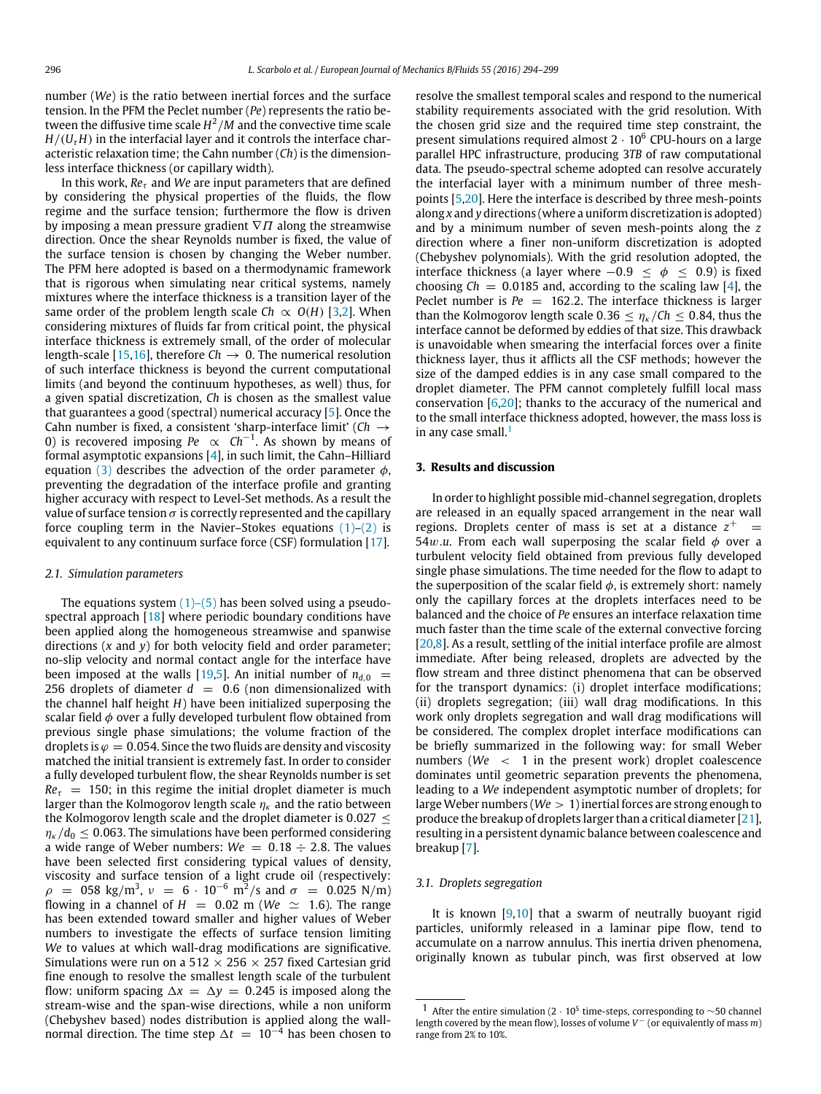number (*We*) is the ratio between inertial forces and the surface tension. In the PFM the Peclet number (*Pe*) represents the ratio between the diffusive time scale *H* 2 /*M* and the convective time scale  $H/(U_{\tau}H)$  in the interfacial layer and it controls the interface characteristic relaxation time; the Cahn number (*Ch*) is the dimensionless interface thickness (or capillary width).

In this work, *Re<sub>τ</sub>* and *We* are input parameters that are defined by considering the physical properties of the fluids, the flow regime and the surface tension; furthermore the flow is driven by imposing a mean pressure gradient  $\nabla \Pi$  along the streamwise direction. Once the shear Reynolds number is fixed, the value of the surface tension is chosen by changing the Weber number. The PFM here adopted is based on a thermodynamic framework that is rigorous when simulating near critical systems, namely mixtures where the interface thickness is a transition layer of the same order of the problem length scale  $Ch \propto O(H)$  [\[3](#page-5-9)[,2\]](#page-5-10). When considering mixtures of fluids far from critical point, the physical interface thickness is extremely small, of the order of molecular length-scale [\[15](#page-5-11)[,16\]](#page-5-12), therefore  $Ch \rightarrow 0$ . The numerical resolution of such interface thickness is beyond the current computational limits (and beyond the continuum hypotheses, as well) thus, for a given spatial discretization, *Ch* is chosen as the smallest value that guarantees a good (spectral) numerical accuracy [\[5\]](#page-5-1). Once the Cahn number is fixed, a consistent 'sharp-interface limit' (*Ch* → 0) is recovered imposing *Pe* ∝ *Ch*−<sup>1</sup> . As shown by means of formal asymptotic expansions [\[4\]](#page-5-13), in such limit, the Cahn–Hilliard equation [\(3\)](#page-1-3) describes the advection of the order parameter  $\phi$ , preventing the degradation of the interface profile and granting higher accuracy with respect to Level-Set methods. As a result the value of surface tension  $\sigma$  is correctly represented and the capillary force coupling term in the Navier–Stokes equations  $(1)-(2)$  $(1)-(2)$  is equivalent to any continuum surface force (CSF) formulation [\[17\]](#page-5-14).

#### *2.1. Simulation parameters*

The equations system  $(1)$ – $(5)$  has been solved using a pseudospectral approach [\[18\]](#page-5-15) where periodic boundary conditions have been applied along the homogeneous streamwise and spanwise directions (*x* and *y*) for both velocity field and order parameter; no-slip velocity and normal contact angle for the interface have been imposed at the walls [\[19,](#page-5-16)[5\]](#page-5-1). An initial number of  $n_{d,0}$  = 256 droplets of diameter  $d = 0.6$  (non dimensionalized with the channel half height *H*) have been initialized superposing the scalar field  $\phi$  over a fully developed turbulent flow obtained from previous single phase simulations; the volume fraction of the droplets is  $\varphi = 0.054$ . Since the two fluids are density and viscosity matched the initial transient is extremely fast. In order to consider a fully developed turbulent flow, the shear Reynolds number is set  $Re<sub>\tau</sub>$  = 150; in this regime the initial droplet diameter is much larger than the Kolmogorov length scale  $\eta_{\kappa}$  and the ratio between the Kolmogorov length scale and the droplet diameter is 0.027  $\leq$  $\eta_K/d_0 \leq 0.063$ . The simulations have been performed considering a wide range of Weber numbers:  $We = 0.18 \div 2.8$ . The values have been selected first considering typical values of density, viscosity and surface tension of a light crude oil (respectively:  $\rho$  = 058 kg/m<sup>3</sup>,  $\nu$  = 6 · 10<sup>-6</sup> m<sup>2</sup>/s and  $\sigma$  = 0.025 N/m) flowing in a channel of  $H = 0.02$  m ( $We \simeq 1.6$ ). The range has been extended toward smaller and higher values of Weber numbers to investigate the effects of surface tension limiting *We* to values at which wall-drag modifications are significative. Simulations were run on a 512  $\times$  256  $\times$  257 fixed Cartesian grid fine enough to resolve the smallest length scale of the turbulent flow: uniform spacing  $\Delta x = \Delta y = 0.245$  is imposed along the stream-wise and the span-wise directions, while a non uniform (Chebyshev based) nodes distribution is applied along the wallnormal direction. The time step  $\Delta t = 10^{-4}$  has been chosen to

resolve the smallest temporal scales and respond to the numerical stability requirements associated with the grid resolution. With the chosen grid size and the required time step constraint, the present simulations required almost  $2 \cdot 10^6$  CPU-hours on a large parallel HPC infrastructure, producing 3*TB* of raw computational data. The pseudo-spectral scheme adopted can resolve accurately the interfacial layer with a minimum number of three meshpoints [\[5](#page-5-1)[,20\]](#page-5-17). Here the interface is described by three mesh-points along *x* and *y* directions (where a uniform discretization is adopted) and by a minimum number of seven mesh-points along the *z* direction where a finer non-uniform discretization is adopted (Chebyshev polynomials). With the grid resolution adopted, the interface thickness (a layer where  $-0.9 \leq φ \leq 0.9$ ) is fixed choosing  $Ch = 0.0185$  and, according to the scaling law [\[4\]](#page-5-13), the Peclet number is  $Pe = 162.2$ . The interface thickness is larger than the Kolmogorov length scale  $0.36 \le \eta_K / Ch \le 0.84$ , thus the interface cannot be deformed by eddies of that size. This drawback is unavoidable when smearing the interfacial forces over a finite thickness layer, thus it afflicts all the CSF methods; however the size of the damped eddies is in any case small compared to the droplet diameter. The PFM cannot completely fulfill local mass conservation  $[6,20]$  $[6,20]$ ; thanks to the accuracy of the numerical and to the small interface thickness adopted, however, the mass loss is in any case small.<sup>[1](#page-2-0)</sup>

# <span id="page-2-1"></span>**3. Results and discussion**

In order to highlight possible mid-channel segregation, droplets are released in an equally spaced arrangement in the near wall regions. Droplets center of mass is set at a distance  $z^+$  = 54w.u. From each wall superposing the scalar field  $\phi$  over a turbulent velocity field obtained from previous fully developed single phase simulations. The time needed for the flow to adapt to the superposition of the scalar field  $\phi$ , is extremely short: namely only the capillary forces at the droplets interfaces need to be balanced and the choice of *Pe* ensures an interface relaxation time much faster than the time scale of the external convective forcing [\[20](#page-5-17)[,8\]](#page-5-2). As a result, settling of the initial interface profile are almost immediate. After being released, droplets are advected by the flow stream and three distinct phenomena that can be observed for the transport dynamics: (i) droplet interface modifications; (ii) droplets segregation; (iii) wall drag modifications. In this work only droplets segregation and wall drag modifications will be considered. The complex droplet interface modifications can be briefly summarized in the following way: for small Weber numbers (*We* < 1 in the present work) droplet coalescence dominates until geometric separation prevents the phenomena, leading to a *We* independent asymptotic number of droplets; for large Weber numbers (*We* > 1) inertial forces are strong enough to produce the breakup of droplets larger than a critical diameter [\[21\]](#page-5-19), resulting in a persistent dynamic balance between coalescence and breakup [\[7\]](#page-5-20).

# *3.1. Droplets segregation*

It is known  $[9,10]$  $[9,10]$  that a swarm of neutrally buoyant rigid particles, uniformly released in a laminar pipe flow, tend to accumulate on a narrow annulus. This inertia driven phenomena, originally known as tubular pinch, was first observed at low

<span id="page-2-0"></span><sup>&</sup>lt;sup>1</sup> After the entire simulation (2  $\cdot$  10<sup>5</sup> time-steps, corresponding to ~50 channel length covered by the mean flow), losses of volume *V* <sup>−</sup> (or equivalently of mass *m*) range from 2% to 10%.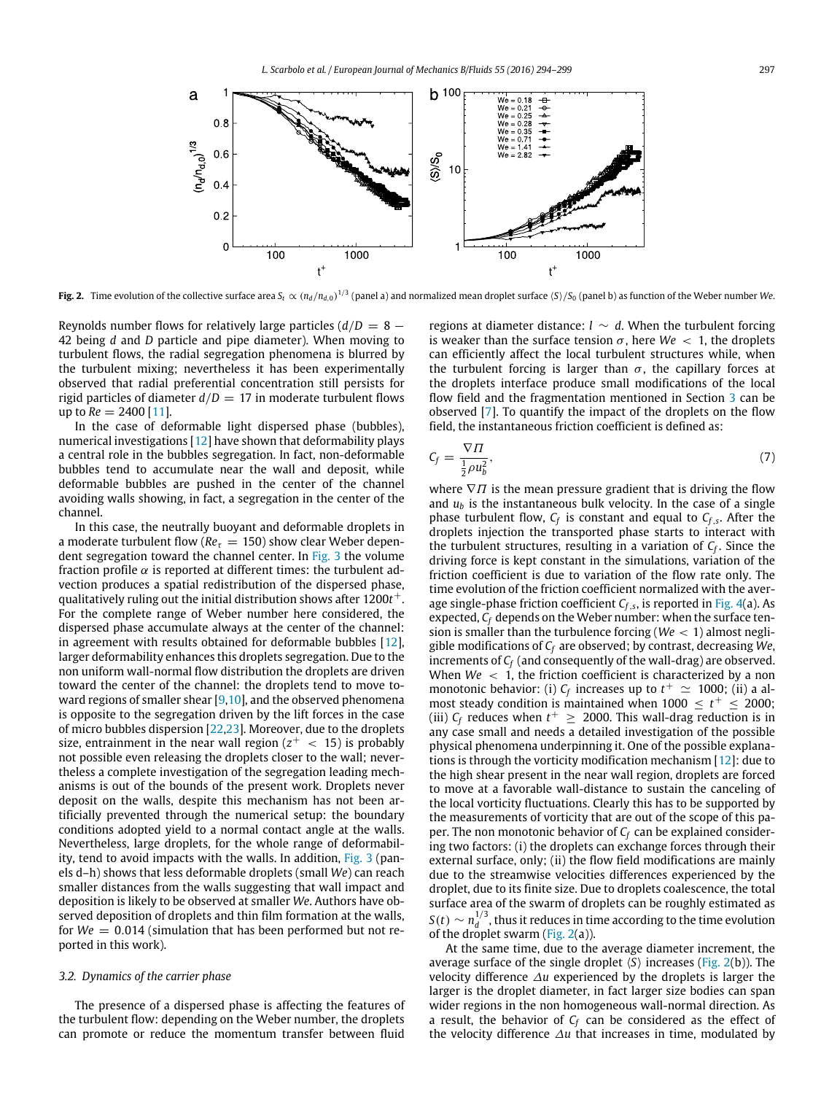<span id="page-3-0"></span>

**Fig. 2.** Time evolution of the collective surface area S<sub>t</sub>  $\propto$  (n<sub>d</sub>/n<sub>d,0</sub>)<sup>1/3</sup> (panel a) and normalized mean droplet surface (S)/S<sub>0</sub> (panel b) as function of the Weber number We.

Reynolds number flows for relatively large particles  $(d/D = 8 -$ 42 being *d* and *D* particle and pipe diameter). When moving to turbulent flows, the radial segregation phenomena is blurred by the turbulent mixing; nevertheless it has been experimentally observed that radial preferential concentration still persists for rigid particles of diameter  $d/D = 17$  in moderate turbulent flows up to  $Re = 2400$  [\[11\]](#page-5-5).

In the case of deformable light dispersed phase (bubbles), numerical investigations [\[12\]](#page-5-6) have shown that deformability plays a central role in the bubbles segregation. In fact, non-deformable bubbles tend to accumulate near the wall and deposit, while deformable bubbles are pushed in the center of the channel avoiding walls showing, in fact, a segregation in the center of the channel.

In this case, the neutrally buoyant and deformable droplets in a moderate turbulent flow ( $Re<sub>\tau</sub> = 150$ ) show clear Weber dependent segregation toward the channel center. In [Fig. 3](#page-4-0) the volume fraction profile  $\alpha$  is reported at different times: the turbulent advection produces a spatial redistribution of the dispersed phase, qualitatively ruling out the initial distribution shows after 1200*t* +. For the complete range of Weber number here considered, the dispersed phase accumulate always at the center of the channel: in agreement with results obtained for deformable bubbles [\[12\]](#page-5-6), larger deformability enhances this droplets segregation. Due to the non uniform wall-normal flow distribution the droplets are driven toward the center of the channel: the droplets tend to move toward regions of smaller shear [\[9](#page-5-3)[,10\]](#page-5-4), and the observed phenomena is opposite to the segregation driven by the lift forces in the case of micro bubbles dispersion [\[22](#page-5-21)[,23\]](#page-5-22). Moreover, due to the droplets size, entrainment in the near wall region ( $z^+$   $\,$   $\,$  15) is probably not possible even releasing the droplets closer to the wall; nevertheless a complete investigation of the segregation leading mechanisms is out of the bounds of the present work. Droplets never deposit on the walls, despite this mechanism has not been artificially prevented through the numerical setup: the boundary conditions adopted yield to a normal contact angle at the walls. Nevertheless, large droplets, for the whole range of deformability, tend to avoid impacts with the walls. In addition, [Fig. 3](#page-4-0) (panels d–h) shows that less deformable droplets (small *We*) can reach smaller distances from the walls suggesting that wall impact and deposition is likely to be observed at smaller *We*. Authors have observed deposition of droplets and thin film formation at the walls, for *We* = 0.014 (simulation that has been performed but not reported in this work).

### *3.2. Dynamics of the carrier phase*

The presence of a dispersed phase is affecting the features of the turbulent flow: depending on the Weber number, the droplets can promote or reduce the momentum transfer between fluid regions at diameter distance:  $l \sim d$ . When the turbulent forcing is weaker than the surface tension  $\sigma$ , here  $We < 1$ , the droplets can efficiently affect the local turbulent structures while, when the turbulent forcing is larger than  $\sigma$ , the capillary forces at the droplets interface produce small modifications of the local flow field and the fragmentation mentioned in Section [3](#page-2-1) can be observed [\[7\]](#page-5-20). To quantify the impact of the droplets on the flow field, the instantaneous friction coefficient is defined as:

$$
C_f = \frac{\nabla \Pi}{\frac{1}{2}\rho u_b^2},\tag{7}
$$

where  $\nabla \Pi$  is the mean pressure gradient that is driving the flow and  $u<sub>b</sub>$  is the instantaneous bulk velocity. In the case of a single phase turbulent flow,  $C_f$  is constant and equal to  $C_{f,s}$ . After the droplets injection the transported phase starts to interact with the turbulent structures, resulting in a variation of *C<sup>f</sup>* . Since the driving force is kept constant in the simulations, variation of the friction coefficient is due to variation of the flow rate only. The time evolution of the friction coefficient normalized with the average single-phase friction coefficient *C<sup>f</sup>* ,*<sup>s</sup>* , is reported in [Fig. 4\(](#page-4-1)a). As expected, *C<sup>f</sup>* depends on the Weber number: when the surface tension is smaller than the turbulence forcing (*We* < 1) almost negligible modifications of *C<sup>f</sup>* are observed; by contrast, decreasing *We*, increments of *C<sup>f</sup>* (and consequently of the wall-drag) are observed. When  $We < 1$ , the friction coefficient is characterized by a non monotonic behavior: (i)  $C_f$  increases up to  $t^+ \simeq 1000$ ; (ii) a almost steady condition is maintained when  $1000 \leq t^+ \leq 2000$ ; (iii)  $C_f$  reduces when  $t^+ \geq 2000$ . This wall-drag reduction is in any case small and needs a detailed investigation of the possible physical phenomena underpinning it. One of the possible explanations is through the vorticity modification mechanism [\[12\]](#page-5-6): due to the high shear present in the near wall region, droplets are forced to move at a favorable wall-distance to sustain the canceling of the local vorticity fluctuations. Clearly this has to be supported by the measurements of vorticity that are out of the scope of this paper. The non monotonic behavior of *C<sup>f</sup>* can be explained considering two factors: (i) the droplets can exchange forces through their external surface, only; (ii) the flow field modifications are mainly due to the streamwise velocities differences experienced by the droplet, due to its finite size. Due to droplets coalescence, the total surface area of the swarm of droplets can be roughly estimated as  $S(t) \sim n_d^{1/3}$ , thus it reduces in time according to the time evolution of the droplet swarm [\(Fig. 2\(](#page-3-0)a)).

At the same time, due to the average diameter increment, the average surface of the single droplet ⟨*S*⟩ increases [\(Fig. 2\(](#page-3-0)b)). The velocity difference ∆*u* experienced by the droplets is larger the larger is the droplet diameter, in fact larger size bodies can span wider regions in the non homogeneous wall-normal direction. As a result, the behavior of *C<sup>f</sup>* can be considered as the effect of the velocity difference ∆*u* that increases in time, modulated by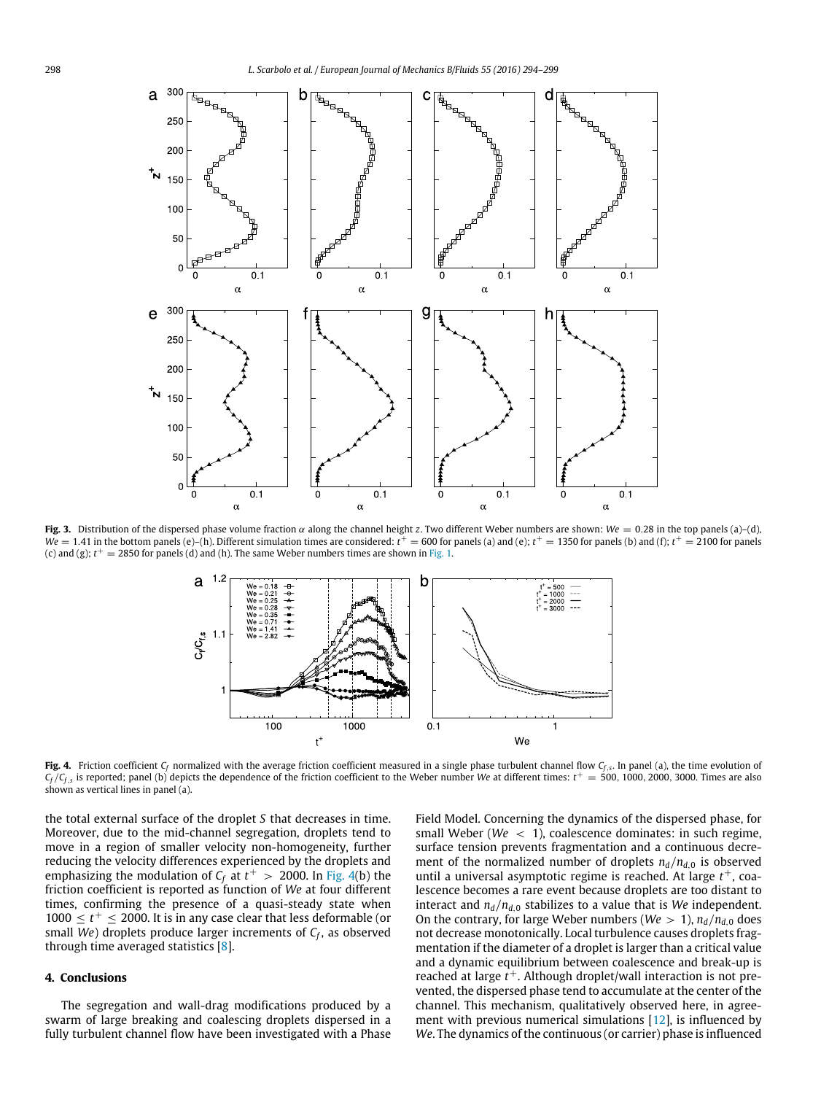<span id="page-4-0"></span>

<span id="page-4-1"></span>**Fig. 3.** Distribution of the dispersed phase volume fraction α along the channel height *z*. Two different Weber numbers are shown: *We* = 0.28 in the top panels (a)–(d),  $We = 1.41$  in the bottom panels (e)–(h). Different simulation times are considered:  $t^+ = 600$  for panels (a) and (e);  $t^+ = 1350$  for panels (b) and (f);  $t^+ = 2100$  for panels (c) and (g);  $t^+ = 2850$  for panels (d) and (h). The same Weber numbers times are shown in [Fig. 1.](#page-1-0)



**Fig. 4.** Friction coefficient  $C_f$  normalized with the average friction coefficient measured in a single phase turbulent channel flow  $C_{f,s}.$  In panel (a), the time evolution of  $C_f/C_{f,s}$  is reported; panel (b) depicts the dependence of the friction coefficient to the Weber number *We* at different times:  $t^+ = 500$ , 1000, 2000, 3000. Times are also shown as vertical lines in panel (a).

the total external surface of the droplet *S* that decreases in time. Moreover, due to the mid-channel segregation, droplets tend to move in a region of smaller velocity non-homogeneity, further reducing the velocity differences experienced by the droplets and emphasizing the modulation of  $C_f$  at  $t^+ > 2000$ . In [Fig. 4\(](#page-4-1)b) the friction coefficient is reported as function of *We* at four different times, confirming the presence of a quasi-steady state when  $1000 \le t^+ \le 2000$ . It is in any case clear that less deformable (or small *We*) droplets produce larger increments of *C<sup>f</sup>* , as observed through time averaged statistics [\[8\]](#page-5-2).

# **4. Conclusions**

The segregation and wall-drag modifications produced by a swarm of large breaking and coalescing droplets dispersed in a fully turbulent channel flow have been investigated with a Phase Field Model. Concerning the dynamics of the dispersed phase, for small Weber (*We* < 1), coalescence dominates: in such regime, surface tension prevents fragmentation and a continuous decrement of the normalized number of droplets  $n_d/n_{d,0}$  is observed until a universal asymptotic regime is reached. At large *t* <sup>+</sup>, coalescence becomes a rare event because droplets are too distant to interact and  $n_d/n_{d,0}$  stabilizes to a value that is *We* independent. On the contrary, for large Weber numbers ( $We > 1$ ),  $n_d/n_{d,0}$  does not decrease monotonically. Local turbulence causes droplets fragmentation if the diameter of a droplet is larger than a critical value and a dynamic equilibrium between coalescence and break-up is reached at large  $t^+$ . Although droplet/wall interaction is not prevented, the dispersed phase tend to accumulate at the center of the channel. This mechanism, qualitatively observed here, in agreement with previous numerical simulations  $[12]$ , is influenced by *We*. The dynamics of the continuous (or carrier) phase is influenced